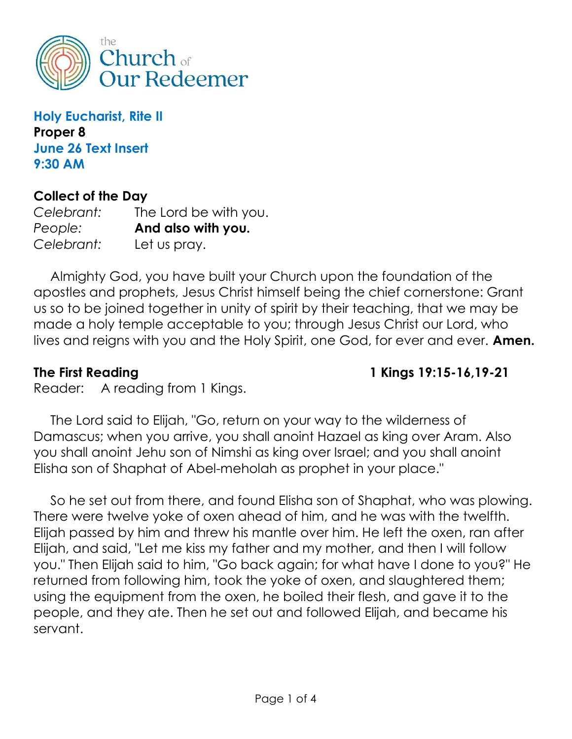

Holy Eucharist, Rite II Proper 8 June 26 Text Insert 9:30 AM

### Collect of the Day

Celebrant: The Lord be with you. People: **And also with you.** Celebrant: Let us pray.

 Almighty God, you have built your Church upon the foundation of the apostles and prophets, Jesus Christ himself being the chief cornerstone: Grant us so to be joined together in unity of spirit by their teaching, that we may be made a holy temple acceptable to you; through Jesus Christ our Lord, who lives and reigns with you and the Holy Spirit, one God, for ever and ever. Amen.

The First Reading 1 Kings 19:15-16, 19-21

Reader: A reading from 1 Kings.

 The Lord said to Elijah, "Go, return on your way to the wilderness of Damascus; when you arrive, you shall anoint Hazael as king over Aram. Also you shall anoint Jehu son of Nimshi as king over Israel; and you shall anoint Elisha son of Shaphat of Abel-meholah as prophet in your place."

 So he set out from there, and found Elisha son of Shaphat, who was plowing. There were twelve yoke of oxen ahead of him, and he was with the twelfth. Elijah passed by him and threw his mantle over him. He left the oxen, ran after Elijah, and said, "Let me kiss my father and my mother, and then I will follow you." Then Elijah said to him, "Go back again; for what have I done to you?" He returned from following him, took the yoke of oxen, and slaughtered them; using the equipment from the oxen, he boiled their flesh, and gave it to the people, and they ate. Then he set out and followed Elijah, and became his servant.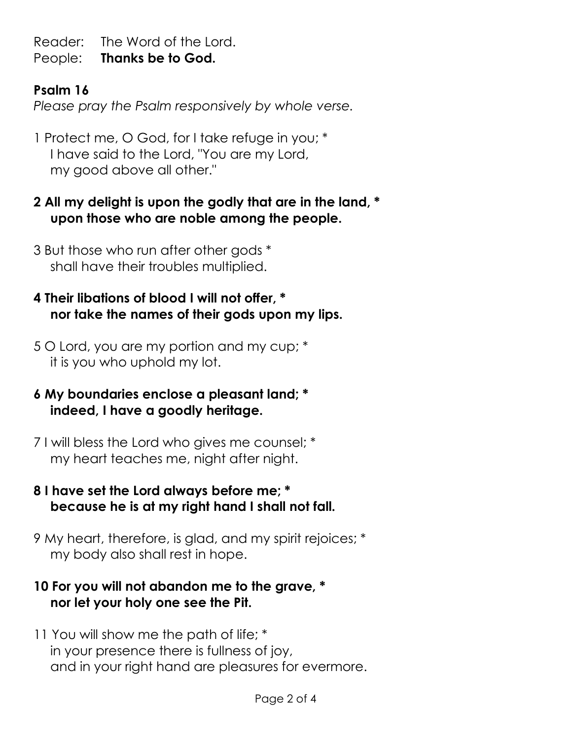Reader: The Word of the Lord. People: Thanks be to God.

# Psalm 16

Please pray the Psalm responsively by whole verse.

1 Protect me, O God, for I take refuge in you; \* I have said to the Lord, "You are my Lord, my good above all other."

- 2 All my delight is upon the godly that are in the land, \* upon those who are noble among the people.
- 3 But those who run after other gods \* shall have their troubles multiplied.

## 4 Their libations of blood I will not offer, \* nor take the names of their gods upon my lips.

- 5 O Lord, you are my portion and my cup; \* it is you who uphold my lot.
- 6 My boundaries enclose a pleasant land; \* indeed, I have a goodly heritage.
- 7 I will bless the Lord who gives me counsel; \* my heart teaches me, night after night.
- 8 I have set the Lord always before me; \* because he is at my right hand I shall not fall.
- 9 My heart, therefore, is glad, and my spirit rejoices; \* my body also shall rest in hope.

## 10 For you will not abandon me to the grave, \* nor let your holy one see the Pit.

11 You will show me the path of life; \* in your presence there is fullness of joy, and in your right hand are pleasures for evermore.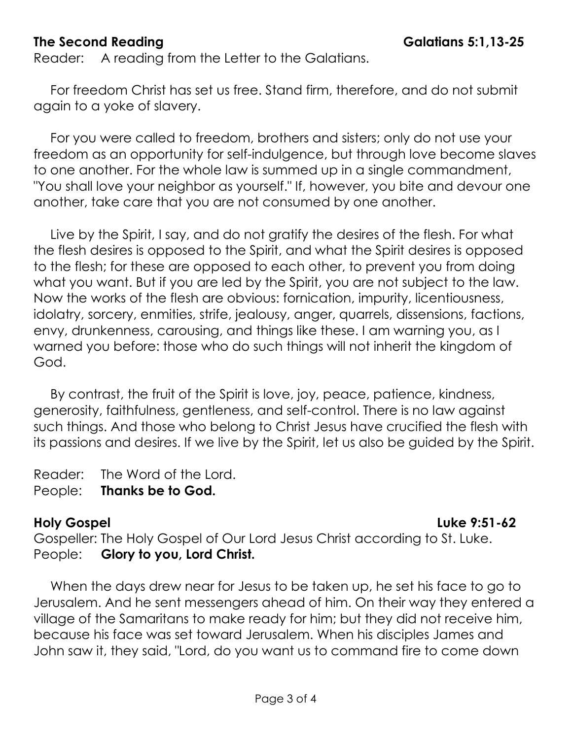### The Second Reading The Second Reading

Reader: A reading from the Letter to the Galatians.

 For freedom Christ has set us free. Stand firm, therefore, and do not submit again to a yoke of slavery.

 For you were called to freedom, brothers and sisters; only do not use your freedom as an opportunity for self-indulgence, but through love become slaves to one another. For the whole law is summed up in a single commandment, "You shall love your neighbor as yourself." If, however, you bite and devour one another, take care that you are not consumed by one another.

 Live by the Spirit, I say, and do not gratify the desires of the flesh. For what the flesh desires is opposed to the Spirit, and what the Spirit desires is opposed to the flesh; for these are opposed to each other, to prevent you from doing what you want. But if you are led by the Spirit, you are not subject to the law. Now the works of the flesh are obvious: fornication, impurity, licentiousness, idolatry, sorcery, enmities, strife, jealousy, anger, quarrels, dissensions, factions, envy, drunkenness, carousing, and things like these. I am warning you, as I warned you before: those who do such things will not inherit the kingdom of God.

 By contrast, the fruit of the Spirit is love, joy, peace, patience, kindness, generosity, faithfulness, gentleness, and self-control. There is no law against such things. And those who belong to Christ Jesus have crucified the flesh with its passions and desires. If we live by the Spirit, let us also be guided by the Spirit.

Reader: The Word of the Lord.

People: Thanks be to God.

#### Holy Gospel **Luke 9:51-62**

Gospeller: The Holy Gospel of Our Lord Jesus Christ according to St. Luke. People: Glory to you, Lord Christ.

 When the days drew near for Jesus to be taken up, he set his face to go to Jerusalem. And he sent messengers ahead of him. On their way they entered a village of the Samaritans to make ready for him; but they did not receive him, because his face was set toward Jerusalem. When his disciples James and John saw it, they said, "Lord, do you want us to command fire to come down